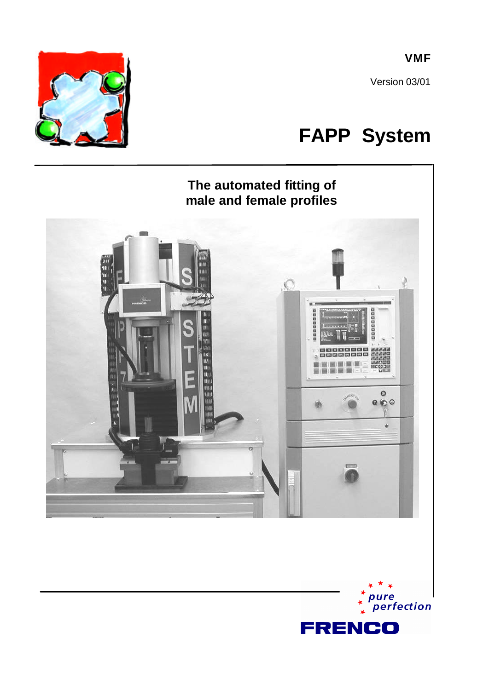**VMF**

Version 03/01

# **FAPP System**



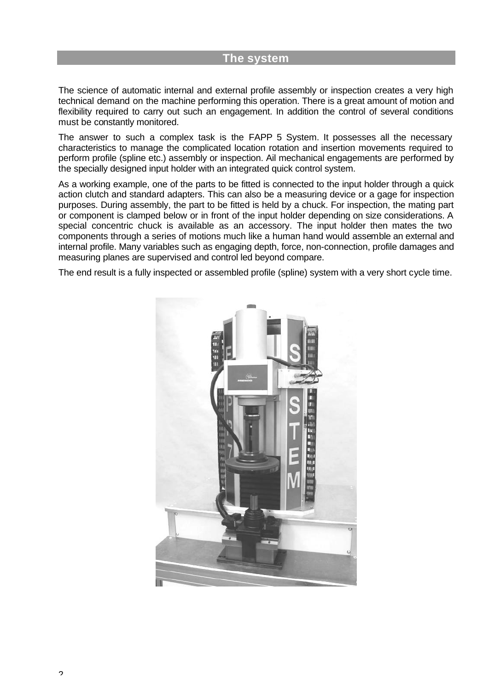#### **The system**

The science of automatic internal and external profile assembly or inspection creates a very high technical demand on the machine performing this operation. There is a great amount of motion and flexibility required to carry out such an engagement. In addition the control of several conditions must be constantly monitored.

The answer to such a complex task is the FAPP 5 System. It possesses all the necessary characteristics to manage the complicated location rotation and insertion movements required to perform profile (spline etc.) assembly or inspection. Ail mechanical engagements are performed by the specially designed input holder with an integrated quick control system.

As a working example, one of the parts to be fitted is connected to the input holder through a quick action clutch and standard adapters. This can also be a measuring device or a gage for inspection purposes. During assembly, the part to be fitted is held by a chuck. For inspection, the mating part or component is clamped below or in front of the input holder depending on size considerations. A special concentric chuck is available as an accessory. The input holder then mates the two components through a series of motions much like a human hand would assemble an external and internal profile. Many variables such as engaging depth, force, non-connection, profile damages and measuring planes are supervised and control led beyond compare.

The end result is a fully inspected or assembled profile (spline) system with a very short cycle time.

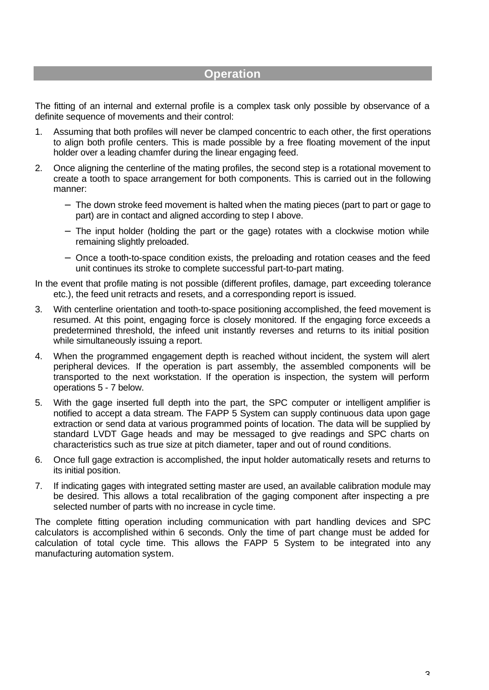## **Operation**

The fitting of an internal and external profile is a complex task only possible by observance of a definite sequence of movements and their control:

- 1. Assuming that both profiles will never be clamped concentric to each other, the first operations to align both profile centers. This is made possible by a free floating movement of the input holder over a leading chamfer during the linear engaging feed.
- 2. Once aligning the centerline of the mating profiles, the second step is a rotational movement to create a tooth to space arrangement for both components. This is carried out in the following manner:
	- − The down stroke feed movement is halted when the mating pieces (part to part or gage to part) are in contact and aligned according to step I above.
	- − The input holder (holding the part or the gage) rotates with a clockwise motion while remaining slightly preloaded.
	- − Once a tooth-to-space condition exists, the preloading and rotation ceases and the feed unit continues its stroke to complete successful part-to-part mating.

In the event that profile mating is not possible (different profiles, damage, part exceeding tolerance etc.), the feed unit retracts and resets, and a corresponding report is issued.

- 3. With centerline orientation and tooth-to-space positioning accomplished, the feed movement is resumed. At this point, engaging force is closely monitored. If the engaging force exceeds a predetermined threshold, the infeed unit instantly reverses and returns to its initial position while simultaneously issuing a report.
- 4. When the programmed engagement depth is reached without incident, the system will alert peripheral devices. If the operation is part assembly, the assembled components will be transported to the next workstation. If the operation is inspection, the system will perform operations 5 - 7 below.
- 5. With the gage inserted full depth into the part, the SPC computer or intelligent amplifier is notified to accept a data stream. The FAPP 5 System can supply continuous data upon gage extraction or send data at various programmed points of location. The data will be supplied by standard LVDT Gage heads and may be messaged to give readings and SPC charts on characteristics such as true size at pitch diameter, taper and out of round conditions.
- 6. Once full gage extraction is accomplished, the input holder automatically resets and returns to its initial position.
- 7. If indicating gages with integrated setting master are used, an available calibration module may be desired. This allows a total recalibration of the gaging component after inspecting a pre selected number of parts with no increase in cycle time.

The complete fitting operation including communication with part handling devices and SPC calculators is accomplished within 6 seconds. Only the time of part change must be added for calculation of total cycle time. This allows the FAPP 5 System to be integrated into any manufacturing automation system.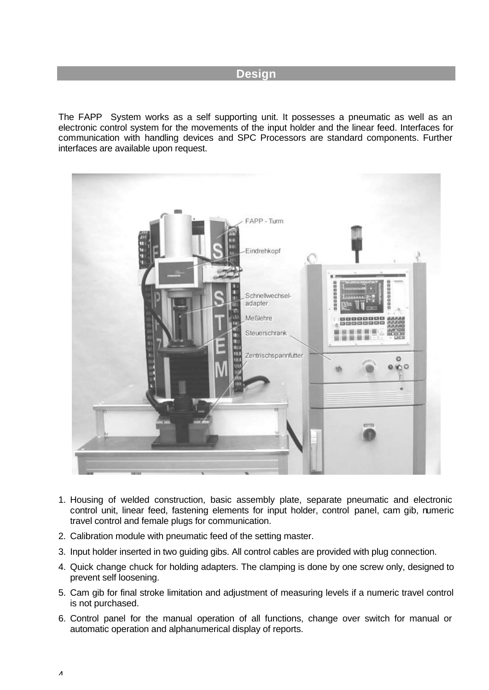## **Design**

The FAPP System works as a self supporting unit. It possesses a pneumatic as well as an electronic control system for the movements of the input holder and the linear feed. Interfaces for communication with handling devices and SPC Processors are standard components. Further interfaces are available upon request.



- 1. Housing of welded construction, basic assembly plate, separate pneumatic and electronic control unit, linear feed, fastening elements for input holder, control panel, cam gib, numeric travel control and female plugs for communication.
- 2. Calibration module with pneumatic feed of the setting master.
- 3. Input holder inserted in two guiding gibs. All control cables are provided with plug connection.
- 4. Quick change chuck for holding adapters. The clamping is done by one screw only, designed to prevent self loosening.
- 5. Cam gib for final stroke limitation and adjustment of measuring levels if a numeric travel control is not purchased.
- 6. Control panel for the manual operation of all functions, change over switch for manual or automatic operation and alphanumerical display of reports.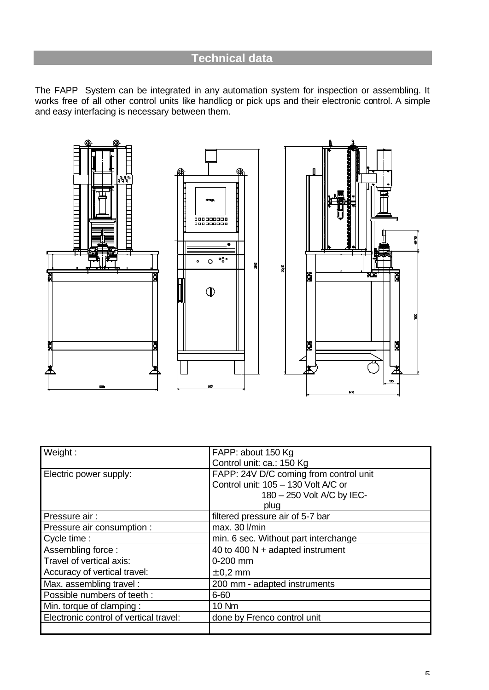# **Technical data**

The FAPP System can be integrated in any automation system for inspection or assembling. It works free of all other control units like handlicg or pick ups and their electronic control. A simple and easy interfacing is necessary between them.



| Weight:                                | FAPP: about 150 Kg                     |
|----------------------------------------|----------------------------------------|
|                                        | Control unit: ca.: 150 Kg              |
| Electric power supply:                 | FAPP: 24V D/C coming from control unit |
|                                        | Control unit: 105 - 130 Volt A/C or    |
|                                        | 180 - 250 Volt A/C by IEC-             |
|                                        | plug                                   |
| Pressure air:                          | filtered pressure air of 5-7 bar       |
| Pressure air consumption :             | max. 30 l/min                          |
| Cycle time :                           | min. 6 sec. Without part interchange   |
| Assembling force:                      | 40 to 400 $N +$ adapted instrument     |
| Travel of vertical axis:               | $0-200$ mm                             |
| Accuracy of vertical travel:           | $\pm$ 0.2 mm                           |
| Max. assembling travel:                | 200 mm - adapted instruments           |
| Possible numbers of teeth :            | $6 - 60$                               |
| Min. torque of clamping:               | <b>10 Nm</b>                           |
| Electronic control of vertical travel: | done by Frenco control unit            |
|                                        |                                        |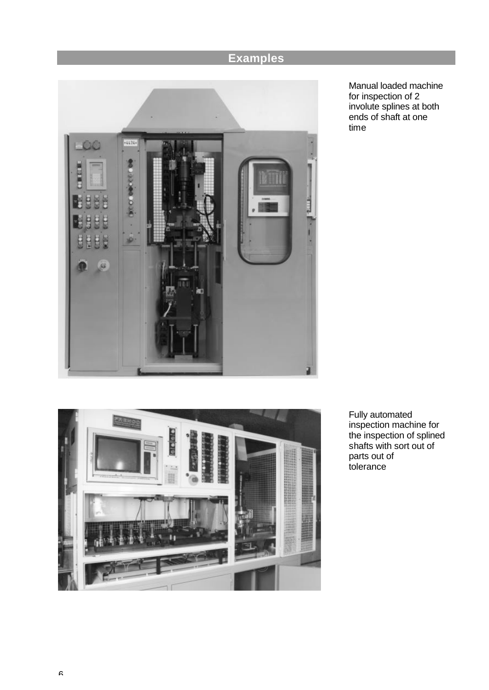# **Examples**



Manual loaded machine for inspection of 2 involute splines at both ends of shaft at one time



Fully automated inspection machine for the inspection of splined shafts with sort out of parts out of tolerance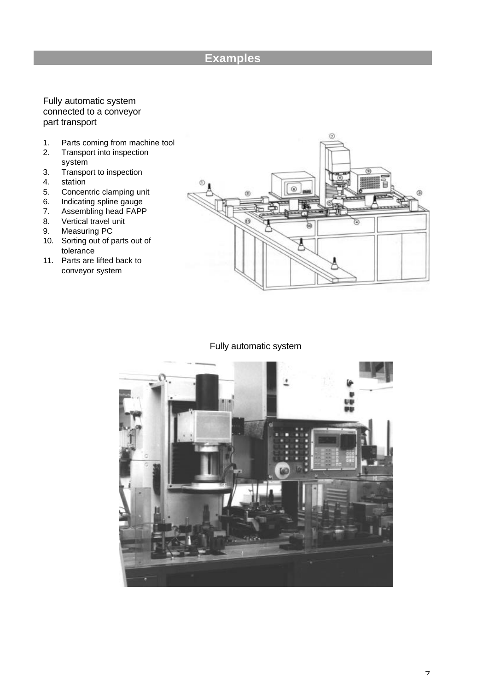# **Examples**

#### Fully automatic system connected to a conveyor part transport

- 1. Parts coming from machine tool
- 2. Transport into inspection system
- 3. Transport to inspection
- 4. station
- 5. Concentric clamping unit
- 6. Indicating spline gauge
- 7. Assembling head FAPP
- 8. Vertical travel unit
- 9. Measuring PC
- 10. Sorting out of parts out of tolerance
- 11. Parts are lifted back to conveyor system



#### Fully automatic system